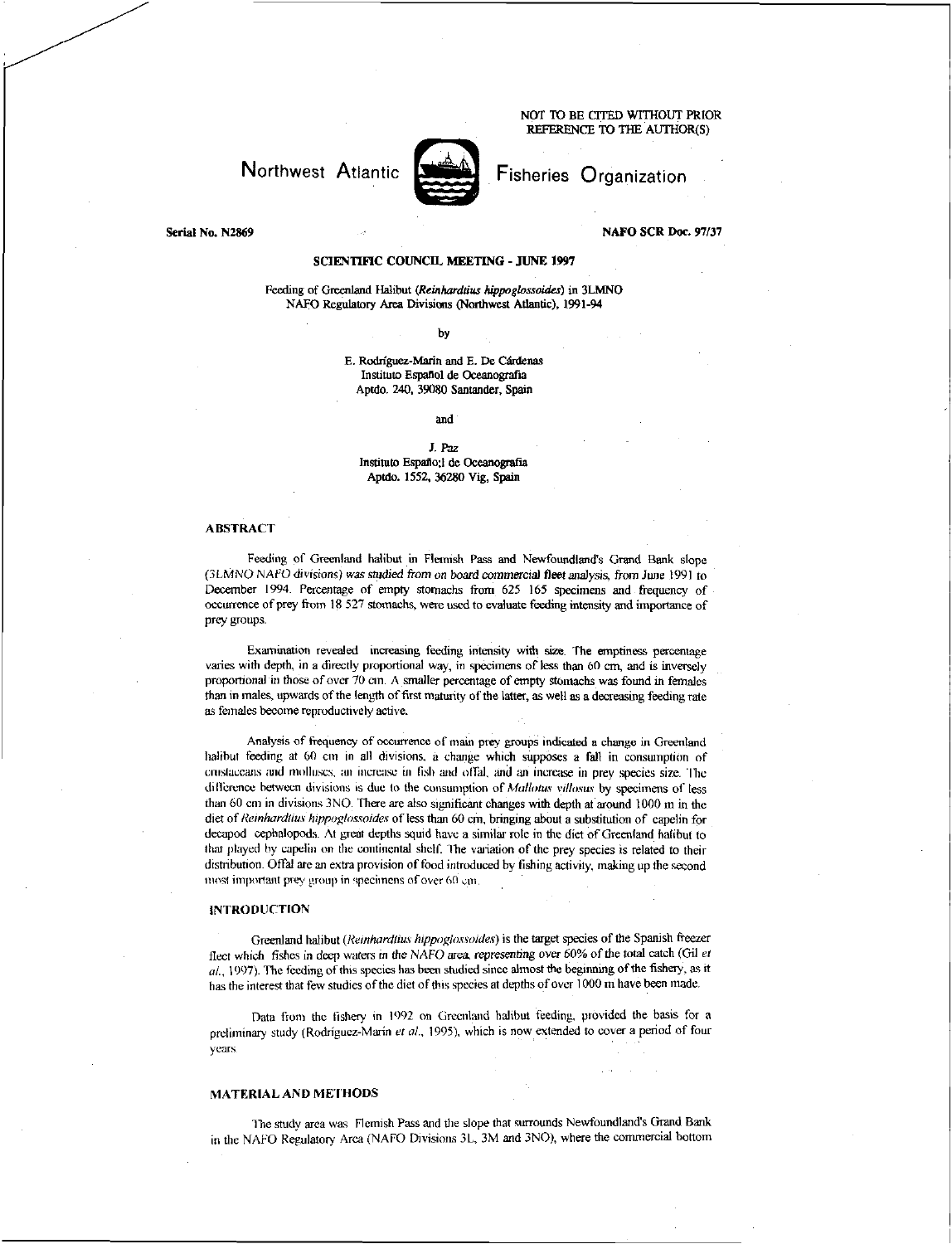NOT TO BE CITED WITHOUT PRIOR REFERENCE To THE AUTHOR(S)

# Northwest Atlantic



Fisheries Organization

#### Serial No. N2869 NAFO SCR Doc. 97/37

## SCIENTIFIC COUNCIL MEETING - JUNE 1997

Feeding of Greenland *Halibut (Reinhordibis hippoglossoides)* in 3LMNO NAFO Regulatory Area Divisions (Northwest Atlantic), 1991-94

#### by

E. Rodriguez-Marin and E. De Cardenas Institute Espanol de Oceanografia Aptdo. 240, 39080 Santander, Spain

and

## *J. Paz*  Institute Espano:1 de Oceanografia Aptdo. 1552, 36280 Vig, Spain

## ABSTRACT

Feeding of Greenland halibut in Flemish Pass and Newfoundland's Grand Bank slope (3LMNO *NAFO* divisions) was *studied from on board commercial fleet analysis,* from June 1991 to December 1994. Percentage of empty stomachs from 625 165 specimens and frequency of occurrence of prey from 18 527 stomachs, were used to evaluate feeding intensity and importance of prey groups.

Examination revealed increasing feeding intensity with size. The emptiness percentage varies with depth, in a directly proportional way, in specimens of less than 60 cm, and is inversely proportional in those of over 70 *cm.* A smaller percentage of empty stomachs was found in females than in males, upwards of the length of first maturity of the latter, as well as a decreasing feeding rate as females become reproductively active.

Analysis of frequency of occurrence of main prey groups indicated a change in Greenland halibut feeding at 60 cm in all divisions, a change which supposes a fall in consumption of crustaceans and molluscs, an increase in fish and offal, and an increase in prey species size. The difference between divisions is due to the consumption of *Mallows yillosus* by specimens of less than 60 cm in divisions 3NO. There are also significant changes with depth at around 1000 m in the diet of *Reinhard/ins hippoglossoides* of less than 60 cm, bringing about a substitution of capelin for decapod cephalopods At great depths squid have a similar role in the diet of Greenland halibut to that played by capelin on the continental shell The variation of the prey species is related to their disnibution. Offal arc an extra provision of food introduced by fishing activity, making up the second most important prey group in specimens of over 60 cm.

# INTRODUCTION

Greenland halibut *(Reinhardtius hippoglossoides)* is the target species of the Spanish freezer fleet which fishes in deep waters in the NAFO area *representing over* 60% of the total catch (Gil *et*   $al.$ , 1997). The feeding of this species has been studied since almost the beginning of the fishery, as it has the interest that few studies of the diet of this species at depths of over 1000 m have been made.

Data from the fishery in 1992 on Greenland halibut feeding, provided the basis for a preliminary study (Rodriguez-Marin *et at,* 1995), which is now extended to cover a period of four years.

# MATERIAL AND METHODS

The study area was Flemish Pass and the slope that surrounds Newfoundland's Grand Bank in the NAFO Regulatory Area (NAFO Divisions 3L. 3M and 3N0), where the commercial bottom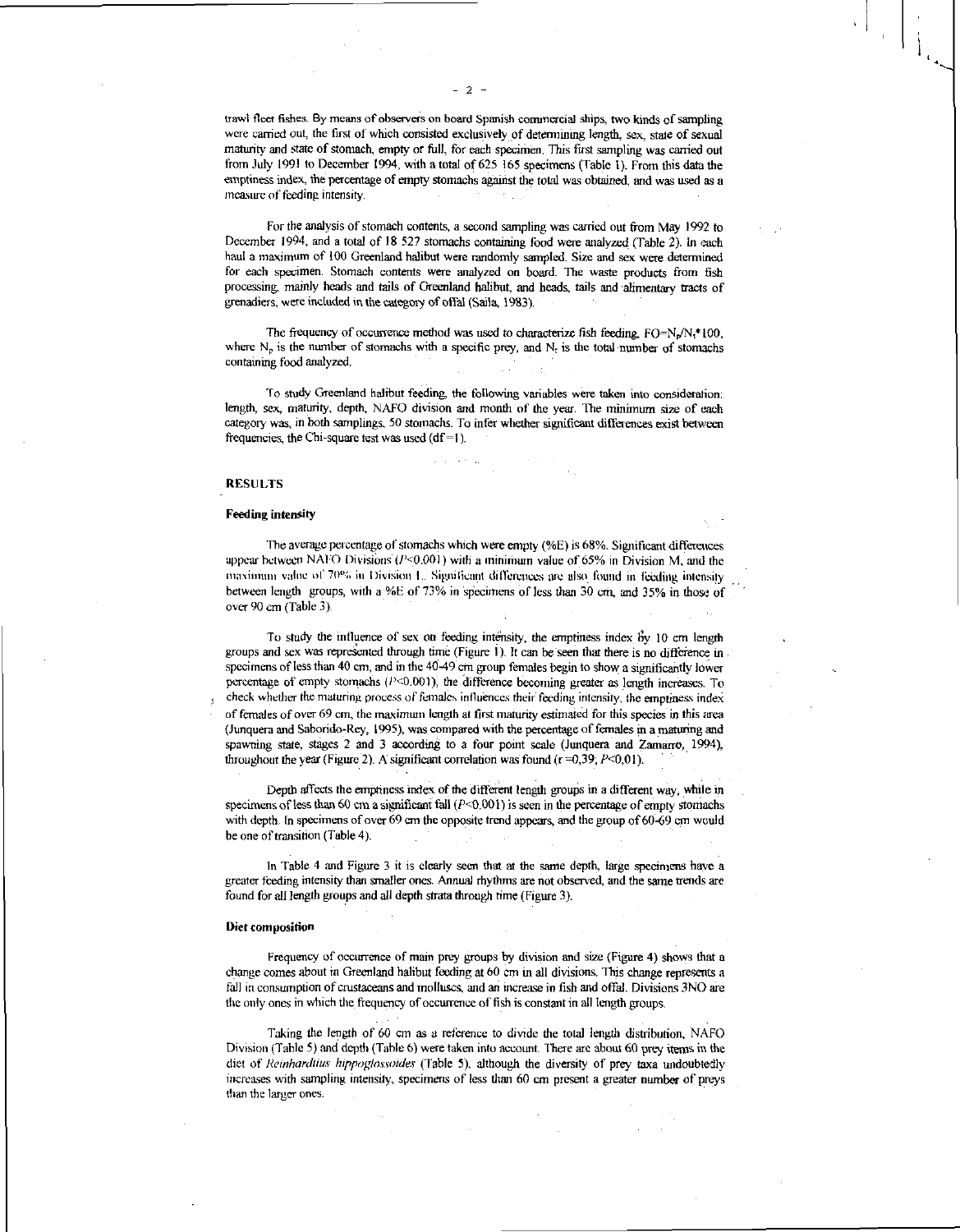trawl fleet fishes. By means of observers on board Spanish commercial ships, two kinds of sampling were carried out, the first of which consisted exclusively of determining length, sex, state of sexual maturity and state of stomach, empty or full, for each specimen. This first sampling was carried out from July 1991 to December 1994, with a total of 625 165 specimens (Table 1). From this data the emptiness index, the percentage of empty stomachs against the total was obtained, and was used as a measure of feeding intensity.

For the analysis of stomach contents, a second sampling was carried out from May 1992 to December 1994, and a total of 18 527 stomachs containing food were analyzed (Table 2). In each haul a maximum of 100 Greenland halibut were randomly sampled. Size and sex were determined for each specimen. Stomach contents were analyzed on board. The waste products from fish processing, mainly heads and tails of Greenland halibut, and heads, tails and alimentary tracts of grenadiers, were included in the category of offal (Saila, 1983).

The frequency of occurrence method was used to characterize fish feeding,  $FO=N_p/N_t*100$ , where  $N_p$  is the number of stomachs with a specific prey, and  $N_t$  is the total number of stomachs containing food analyzed.

To study Greenland halibut feeding, the following variables were taken into consideration: length, sex, maturity, depth, NAFO division and month of the year. The minimum size of each category was, in both samplings, 50 stomachs. To infer whether significant differences exist between frequencies, the Chi-square test was used  $(df = 1)$ .

## RESULTS

#### Feeding intensity

The average percentage of stomachs which were empty (%E) is 68%. Significant differences appear between NAFO Divisions  $(I<0.001)$  with a minimum value of 65% in Division M, and the maximum value of 70% in Division L. Significant differences are also found in feeding intensity between length groups, with a:%E of 73% in specimens of less than 30 cm, and 35% in those of over 90 cm (Table 3).

To study the influence of sex on feeding intensity, the emptiness index by 10 cm length groups and sex was represented through time (Figure 1). It can be seen that there is no difference in specimens of less than 40 cm, and in the 40-49 cm group females begin to show a significantly lower percentage of empty stomachs  $(P<0.001)$ , the difference becoming greater as length increases. To check whether the maturing process of females influences their- feeding intensity, the emptiness index of females *of* over 69 ern, the maximum length at first maturity estimated for this species in this area (Junquera and Saborido-Rey, 1995), was compared with the percentage of females in a maturing and spawning state, stages 2 and 3 according to a four point scale (Junquera and Zamarro, 1994), throughout the year (Figure 2). A significant correlation was found ( $r = 0,39$ ;  $P < 0,01$ ).

Depth affects the emptiness index of the different length groups in a different way, while in specimens of less than 60 cm a significant fall  $(P<0.001)$  is seen in the percentage of empty stomachs with depth. In specimens of over 69 cm the opposite trend appears, and the group of 60-69 cm would be one of transition (Table 4).

In Table 4 and Figure 3 it is clearly seen that at the same depth, large specimens have a greater feeding intensity than smaller ones. Annual rhythms are not observed, and the same trends are found for all length groups and all depth strata through time (Figure 3).

#### Diet composition

Frequency of occurrence of main prey groups by division and size (Figure 4) shows that a change comes about in Greenland halibut feeding at 60 cm in all divisions. This change represents a fall in consumption of crustaceans and molluscs, and an increase in fish and offal. Divisions 3NO are the only ones in which the frequency of occurrence of fish is constant in all length groups.

Taking the length of 60 cm as a reference to divide the total length distribution, NAFO Division (Table 5) and depth (Table 6) were taken into account There are about 60 prey items in the diet of *ileinharthius hippogloswidev* (Table 5), although the diversity of prey taxa undoubtedly increases with sampling intensity, specimens of less than 60 cm present a greater number of preys than the larger ones.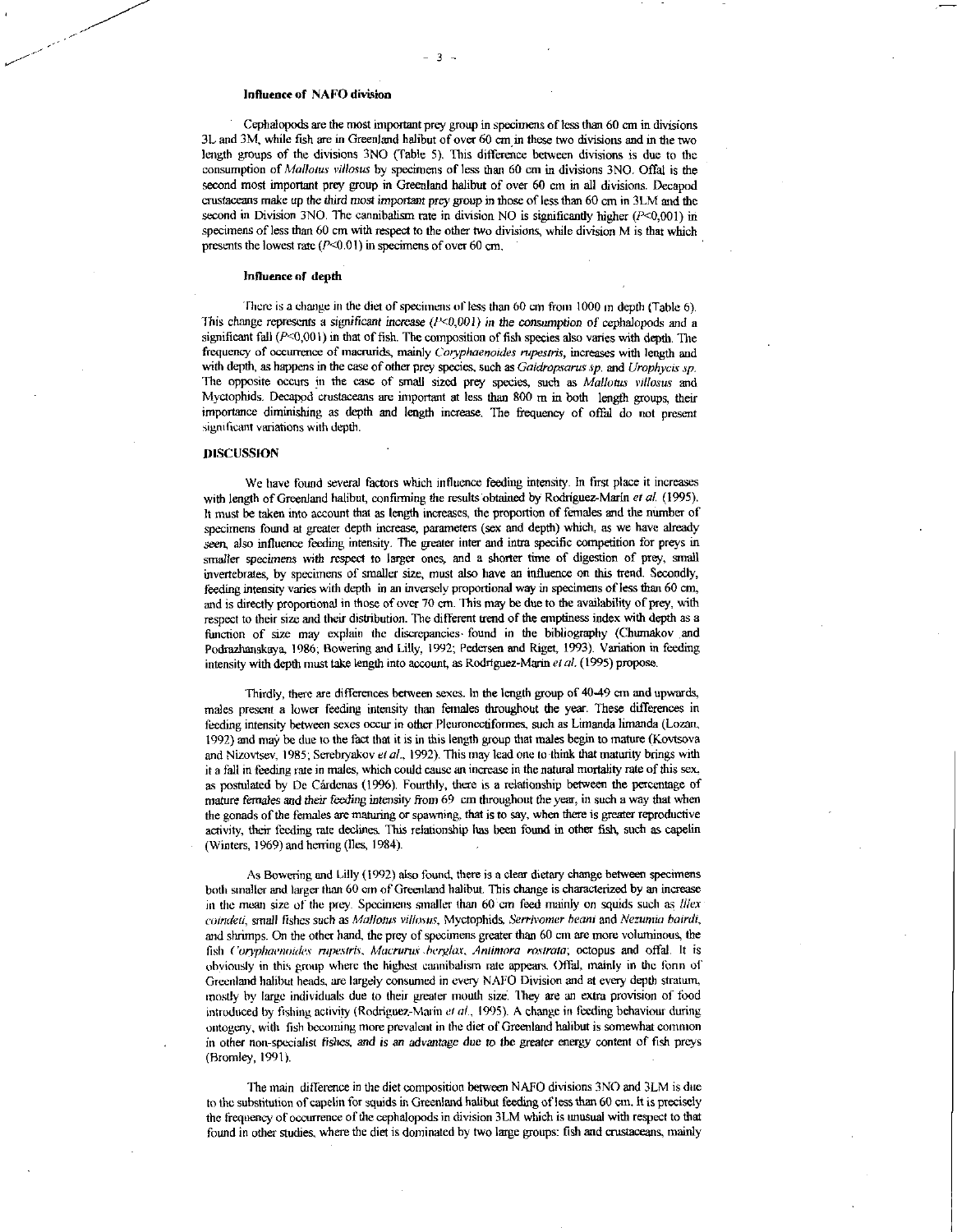#### Influence of NAFO division

Cephalopods are the most important prey group in specimens of less than 60 cm in divisions 3L and 3M, while fish are in Greenland halibut of over 60 cm in these two divisions and in the two length groups of the divisions 3NO (Table 5). This difference between divisions is due to the consumption of *Mallows rillosus* by specimens of less than 60 cm in divisions 3N0. Offal is the second most important prey group in Greenland halibut of over 60 cm in all divisions. Decapod crustaceans make up the third *most* important prey group in those of less than 60 cm in 3LM and the second in Division 3NO. The cannibalism rate in division NO is significantly higher  $(P<0,001)$  in specimens of less than 60 cm with respect to the other two divisions, while division M is that which presents the lowest rate  $(P<0.01)$  in specimens of over 60 cm.

#### Influence of depth

There is a change in the diet of specimens of less than 60 cm from 1000 m depth (Table 6). This change represents a significant increase ( $P<0,001$ ) in the consumption of cephalopods and a significant fall  $(P<0,001)$  in that of fish. The composition of fish species also varies with depth. The frequency of occurrence of macrurids, mainly *Coryphaenoides rupestris*, increases with length and with depth, as happens in the case of other prey species, such as *Gaidropsarus sp.* and *Urophvcis sp.*  The opposite occurs in the case of small sized prey species, such as *Mallotus villosus* and Myctophids. Decapod crustaceans are important at less than 800 m in both length groups, their importance diminishing as depth and length increase. The frequency of offal do not present significant variations with depth.

# DISCUSSION

We have found several factors which influence feeding intensity. In first place it increases with length of Greenland halibut, confirming the results obtained by Rodriguez-Marin *et at* (1995). It must be taken into account that as length increases, the proportion of females and the number of specimens found at greater depth increase, parameters (sex and depth) which, as we have already *seen,* also influence feeding intensity. The greater inter and infra specific competition for preys in smaller specimens with respect to larger ones, and a shorter time of digestion of prey, small invertebrates, by specimens of smaller size, must also have an influence on this trend. Secondly, feeding intensity varies with depth in an inversely proportional way in specimens of less than 60 cm, and is directly proportional in those of over 70 cm. This may be due to the availability of prey, with respect to their size and their distribution. The different trend of the emptiness index with depth as a function of size may explain the discrepancies. found in the bibliography (Churnakov and Podrazhanskaya, 1986; Bowering and Lilly, 1992; Pedersen and Riget, 1993). Variation in feeding intensity with depth must take length into account, as Rodriguez-Mann *etal.* (1995) propose.

Thirdly, there are differences between sexes. In the length group of 40-49 cm and upwards, males present a lower feeding intensity than females throughout the year. These differences in feeding intensity between sexes occur in other Pleuronectiformes, such as Limanda limanda (Lozan, 1992) and may be due to the fact that it is in this length group that males begin to mature (Kovtsova and Nizovtsev, 1985; Serebryakov *et at,* 1992). This may lead one to think that maturity brings with it a fall in feeding rate in males, which could cause an increase in the natural mortality rate of this sex, as postulated by De Cárdenas (1996). Fourthly, there is a relationship between the percentage of mature females *and their feeding* intensity from 69 cm throughout the year, in such a way that when the gonads of the females are maturing or spawning, that is to say, when there is greater reproductive activity, their feeding rate declines. This relationship has been found in other fish, such as capelin (Winters, 1969) and herring (lies, 1984).

As Bowering and Lilly (1992) also found, there is a clear dietary change between specimens both smaller and larger than 60 cm of Greenland halibut. This change is characterized by an increase in the mean size of the prey. Specimens smaller than 60 cm feed mainly on squids such as *Illex coindeti,* small *fishes* such as *Ma/lotus villains,* Myctophids, *Serrivomer bean;* and *Nezumia boirdi,*  and shrimps. On the other hand, the prey of specimens greater than 60 cm are more voluminous, the fish *Coryphaenoides rupestris. Macrurus; .herglar, Anlimora rostrata;* octopus and offal. It is obviously in this group where the highest cannibalism rate appears. Offal, mainly in the form of Greenland halibut heads, are largely consumed in every NAFO Division and at every depth stratum, mostly by large individuals due to their greater mouth size. They are an extra provision of food introduced by fishing activity (Rodriguez-Marin *et al.,* 1995). A change in feeding behaviour during ontogeny, with fish becoming more prevalent in the diet of Greenland halibut is somewhat common in other non-specialist fishes, *and is an advantage due to* the greater energy content of fish preys (Bromley, 1991).

The main difference in the diet composition between NAFO divisions 3N0 and 3LM is due to the substitution of capelin for squids in Greenland halibut feeding of less than 60 cm. It is precisely the frequency of occurrence of the cephalopods in division 3LM which is unusual with respect to that found in other studies, where the diet is dominated by two large groups: fish and crustaceans, mainly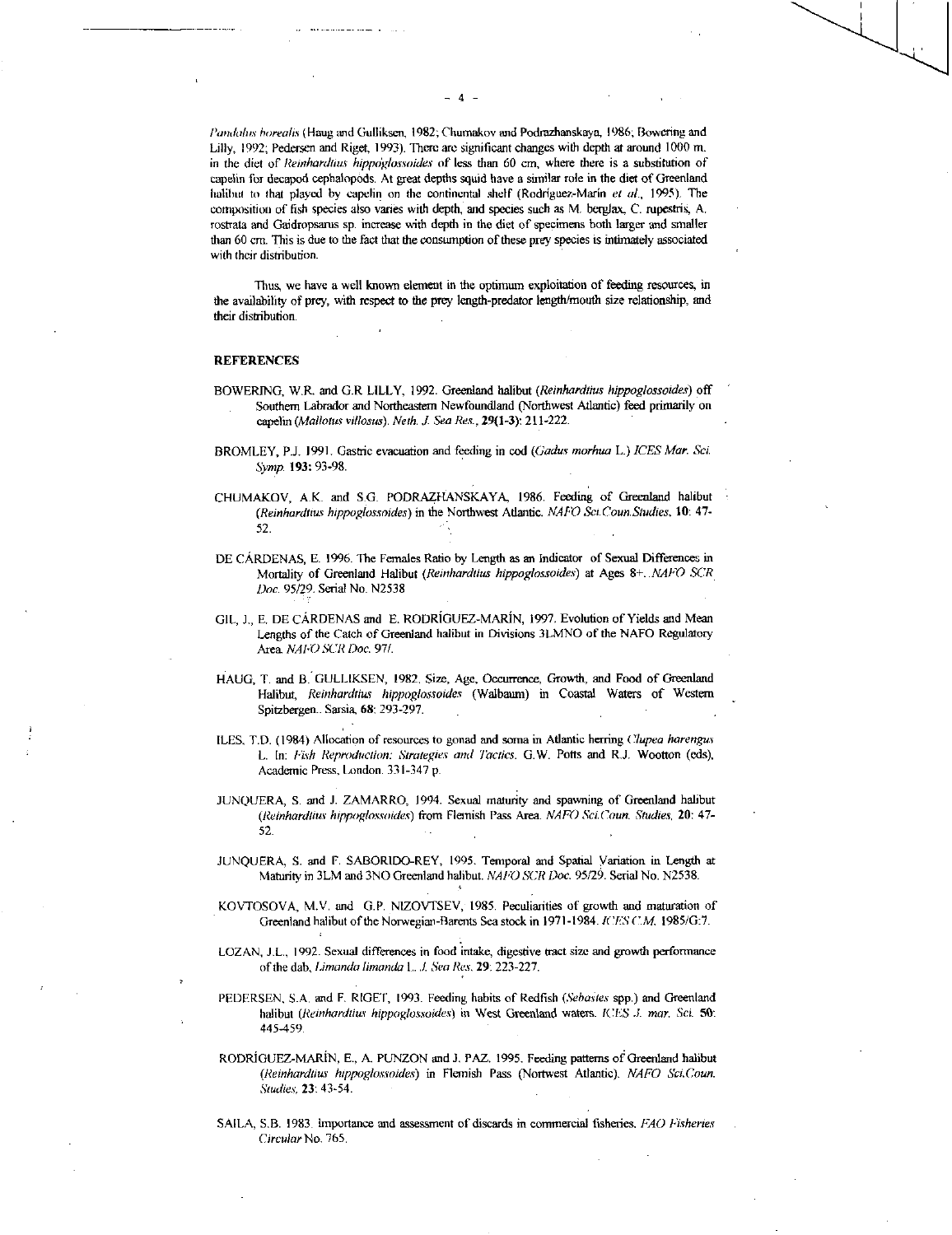*landalus borealis* (Haug and Gulliksen, 1982; Chumakov and Podrazhanskaya, 1986; Bowcring and Lilly, 1992; Pedersen and Riget, 1993). There are significant changes with depth at around 1000 m. in the diet of *Reinhardtius hippoglossoides* of less than 60 cm, where there is a substitution of capelin for decapod cephalopods. At great depths squid have a similar role in the diet of Greenland halibut to that played by capelin on the continental shelf (Rodriguez-Mann *et al.,* 1995). The composition of fish species also varies with depth, and species such as M. berglax, *C.* mpestrii, A. rostrata and Gaidropsams sp. increase with depth in the diet of specimens both larger and smaller than 60 cm. This is due to the fact that the consumption of these prey species is intimately associated with their distribution.

Thus, we have a well known element in the optimum exploitation of feeding resources, in the availability of prey, with respect to the prey length-predator length/mouth size relationship, and their distribution.

#### **REFERENCES**

- BOWERING, W.R. and G.R LILLY, 1992. Greenland halibut *(Reinhardtius hippoglossoides)* off Southern Labrador and Northeastern Newfoundland (Northwest Atlantic) feed primarily on capelin *(Mallotus villosus). Neth. J. Sea Res.*, 29(1-3): 211-222.
- BROMLEY, P.J. 1991. Gastric evacuation and feeding in cod *(Gadus morhua* L.) *ICES Mar. Set Symp.* 193: 93-98.
- CHUMAKOV, *kIC* and SG\_ PODRAZHANSKAYA, 1986. Feeding of Greenland halibut *(Reinhardtius hippoglossoides)* in the Northwest Atlantic. *NAPO SaCounSludies,* 10: 47- 52.
- DE CARDENAS, E. 1996. The Females Ratio by Length as an Indicator of Sexual Differences in Mortality of Greenland Halibut *(Reinhardtius hippoglossoides)* at Ages 8+. *NAM SCR.*  95/29. Serial No. N2538 *Doc.*
- GIL, J., E. DE CÁRDENAS and E. RODRÍGUEZ-MARÍN, 1997. Evolution of Yields and Mean Lengths of the Catch of Greenland halibut in Divisions 3LMNO of the NAFO Regulatory Area *NAI,0 SCR Doc.* 97/.
- HAUG, T. and B. GULLIKSEN, 1982, Size, Age, Occurrence, Growth, and Food of Greenland Halibut, *Reinhardtius hippoglossoides* (Walbaum) in Coastal Waters of Western Spitzbergen.. Sarsia, 68: 293-297.
- ILES, T.D. (1984) Allocation of resources to gonad and soma in Atlantic herring *Clupea harengus*  L. In: *Fish Reproduction: Strategies and Tactics.* G.W. Potts and R.J. Wootton (eds), Academic Press, London. 331-347 p.
- jUNQUERA, S. and J. ZAMARRO, 1994. Sexual maturity and spawning of Greenland halibut *(Reinhardaus hippoglossoides)* from Flemish Pass Area. *NAM Sci.Coun. Studies,* 20: 47- 52.
- JUNQUERA, S. and F. SABORIDO-REY, 1995. Temporal and Spatial Variation in Length at Maturity in 3LM and 3NO Greenland halibut. *NATO SCR Doc.* 95/29. Serial No. N2538.
- KOVTOSOVA, M.V. and G.P. NIZOVTSEV, 1985. Peculiarities of growth and maturation of Greenland halibut of the Norwegian-Barents Sea stock in 1971-1984. *ICES* C.M. 1985/G:7.
- LOZAN, J.L., 1992. Sexual differences in food intake, digestive tract size and growth performance of the dab, *timanda limandal...../. Sea Res,* 29'. 223-227.
- PEDERSEN, S.A. and F. RIGET, 1993. Feeding habits of Redfish *(Sebastes* spp.) and Greenland halibut *(Reinhardtius hippoglossoides)* in West Greenland waters. ICES *.1. mar. Sci.*  445-459.
- RODRIGUEZ-MARIN, E., A. PUNZON and J. PAZ. 1995. Feeding patterns of Greenland halibut *(Reinhardtius hippoglossoides)* in Flemish Pass (Nortwest Atlantic). *NAFO Sci.Coun. Studies,* 23: 43-54.
- SAILA, S.B. 1981 importance and assessment of discards in commercial fisheries. *FAO Fisheries Circular* No. 765.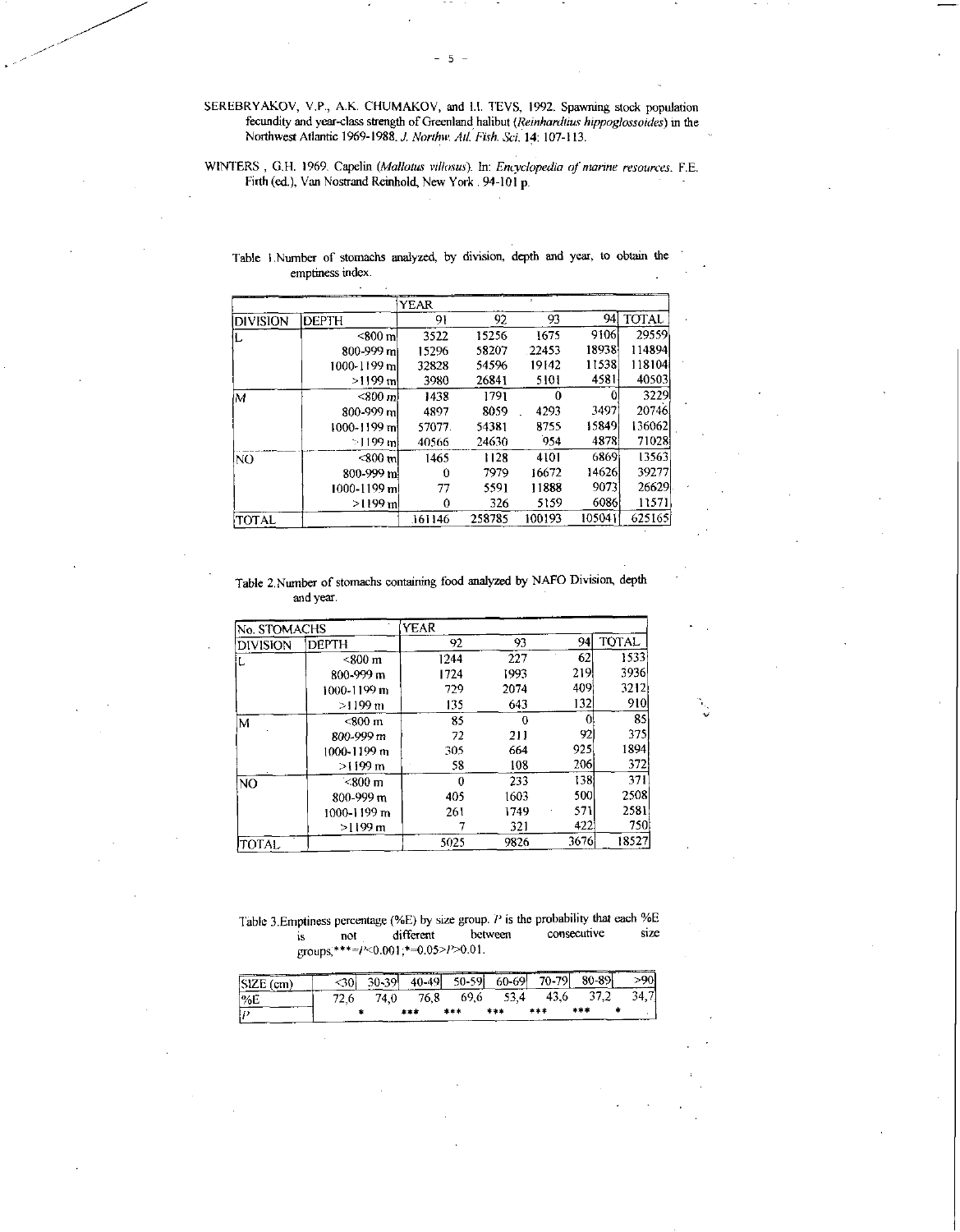SEREBRYAKOV, V.P., A.K. CHUMAKOV, and 1.1. TEVS, 1992. Spawning stock population fecundity and year-class strength of Greenland halibut *(Reinhardtius hippoglossotdes)* in the Northwest Atlantic 1969-1988.1 *Northw. Ad. Fish. Sci. 14:* 107-113.

WINTERS , G.H. 1969. Capelin *(Mallotus vtllosus).* In: *Encyclopedia of marine resources.* F.E. Firth (ed.), Van Nostrand Reinhold, New York . 94-101 p.

|              |                   | YEAR   |        |        |        |              |
|--------------|-------------------|--------|--------|--------|--------|--------------|
| Idivision    | <b>IDEPTH</b>     | 91     | 92     | 93     | 94     | <b>TOTAL</b> |
|              | $<$ 800 m         | 3522   | 15256  | 1675   | 9106   | 29559        |
|              | 800-999 ml        | 15296  | 58207  | 22453  | 18938  | 114894       |
|              | 1000-1199 ml      | 32828  | 54596  | 19142  | 11538  | 118104       |
|              | >1199 ml          | 3980   | 26841  | 5101   | 4581   | 40503        |
| lМ           | $< 800 \text{ m}$ | 1438   | 1791   |        |        | 3229         |
|              | 800-999 ml        | 4897   | 8059   | 4293   | 3497   | 20746        |
|              | 1000-1199 mi      | 57077  | 54381  | 8755   | 15849  | 136062       |
|              | $\sim$ 1199 ml    | 40566  | 24630  | 954    | 4878   | 71028        |
| INO          | <800 ml           | 1465   | 1128   | 4101   | 6869   | 13563        |
|              | $800 - 999$ m     | 0      | 7979   | 16672  | 14626  | 39277        |
|              | 1000-1199 m       | 77     | 5591   | 11888  | 9073   | 266291       |
|              | $>1199$ m         | 0      | 326    | 5159   | 6086   | 11571        |
| <b>TOTAL</b> |                   | 161146 | 258785 | 100193 | 105041 | 625165       |

Table I Number of stomachs analyzed, by division, depth and year, to obtain the emptiness index.

Table 2.Number of stomachs containing food analyzed by NAFO Division, depth and year.

| No STOMACHS     |                        | YEAR |      |      |              |  |
|-----------------|------------------------|------|------|------|--------------|--|
| <b>DIVISION</b> | <b>DEPTH</b>           | 92   | 93   | 94   | <b>TOTAL</b> |  |
| ↳               | $< 800 \text{ m}$      | 1244 | 227  | 62   | 1533         |  |
|                 | 800-999 m              | 1724 | 1993 | 219  | 3936         |  |
|                 | 1000-1199 m            | 729  | 2074 | 409  | 3212         |  |
|                 | >1199 m                | 135  | 643  | 132  | 910          |  |
| M               | $<$ 800 $\,\mathrm{m}$ | 85   | 0    |      | 85           |  |
|                 | 800-999 m              | 72   | 211  | 92   | 375          |  |
|                 | 1000-1199 m            | 305  | 664  | 925. | 1894         |  |
|                 | $>1199 \text{ m}$      | 58   | 108  | 206  | 372          |  |
| <b>NO</b>       | $<$ 800 m              | 0    | 233  | 138  | 371          |  |
|                 | 800-999 m              | 405  | 1603 | 500  | 2508         |  |
|                 | 1000-1199 m            | 261  | 1749 | 571  | 2581         |  |
|                 | $>1199 \text{ m}$      |      | 321  | 422  | 750)         |  |
| TOTAL           |                        | 5025 | 9826 | 3676 | 18527        |  |

Table 3. Emptiness percentage (%E) by size group. *P* is the probability that each %E is not different between consecutive size groups,\*\*\*\*= $P<0.001$ ;\*=0.05> $P>0.01$ .

| $ SIZE (cm)$ $  \leq 30$ |       |  |  | $30-39$ 40-49 50-59 60-69 70-79 80-89 | $\rightarrow$ 901. |
|--------------------------|-------|--|--|---------------------------------------|--------------------|
| %E                       | 72.6. |  |  | 74,0 76,8 69,6 53,4 43,6 37,2         | 34.7               |
|                          |       |  |  |                                       |                    |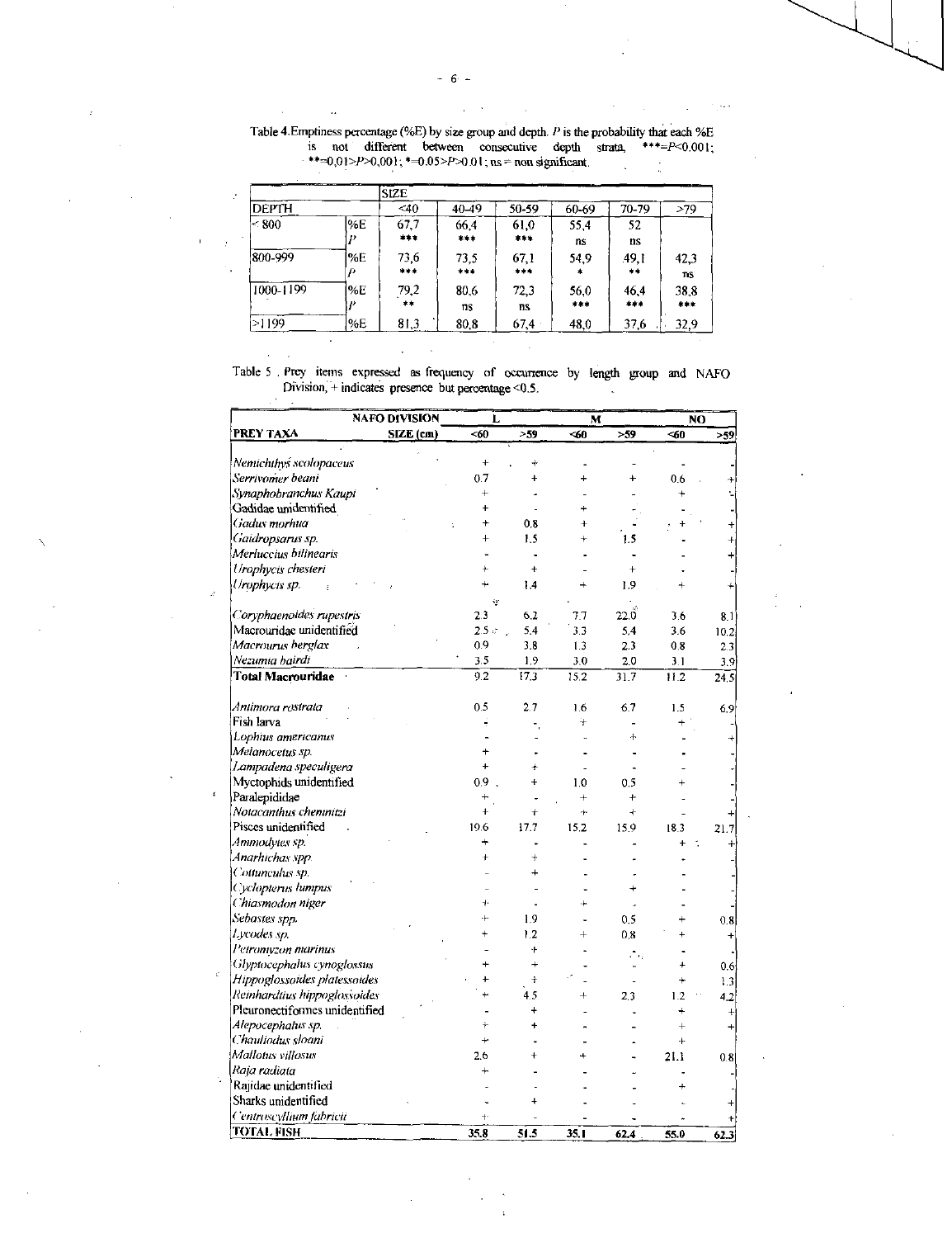| Table 4. Emptiness percentage (%E) by size group and depth. P is the probability that each %E |  |  |
|-----------------------------------------------------------------------------------------------|--|--|

is not different between consecutive depth strata,  $***=P<0.001$ ;  $+(-0.01)P>0.001$ ;  $+(-0.05)P>0.01$ ; ns = non significant.  $\frac{1}{\sqrt{2}}$ 

|               |     | <b>SIZE</b> |       |           |        |       |           |
|---------------|-----|-------------|-------|-----------|--------|-------|-----------|
| <b>DEPTH</b>  |     | $<$ 40      | 40-49 | 50-59     | 60-69  | 70-79 | >79       |
| $\approx 800$ | %E  | 67,7        | 66,4  | 61,0      | 55.4   | 52    |           |
|               |     | ***         | ***   | $* * *$   | ns     | ns    |           |
| 800-999       | '%E | 73,6        | 73.5  | 67,1      | 54,9   | 49.1  | 42,3      |
|               | Ð   | $* * * *$   | $***$ | ***       | $\ast$ | **    | <b>ns</b> |
| 1000-1199     | %E  | 79,2        | 80.6  | 72,3      | 56,0   | 46.4  | 38,8      |
|               |     | $***$       | ns    | <b>ns</b> | $***$  | $***$ | ***       |
| >1199         | %E  | 81,3        | 80,8  | 67,4      | 48,0   | 37.6  | 32,9      |

Table 5 Prey items expressed as frequency of occurrence by length group and NAFO Division, + indicates presence but percentage <0.5.  $\sim$   $\sim$ 

 $\sim$  $\mathcal{L}$ 

 $\mathcal{A}=\mathcal{A}$ 

 $\sim$ 

| <b>NAFO DIVISION</b>           | Г            |           | M         |                | NO        |           |  |
|--------------------------------|--------------|-----------|-----------|----------------|-----------|-----------|--|
| PREY TAXA<br>SIZE (cm)         | <60          | > 59      | -60       | > 59           | $\leq 60$ | > 59      |  |
| Nemichthys scolopaceus         | $\ddot{}$    |           |           |                |           |           |  |
| Serrivomer beani               | 0.7          | $\ddot{}$ | ÷         | $\ddot{}$      | 0.6       |           |  |
| Synaphobranchus Kaupi          | $\ddot{}$    |           |           |                |           |           |  |
| Gadidae unidentified           | ÷            |           |           |                |           |           |  |
| Gadus morhua                   |              | 0.8       | $\ddot{}$ |                |           |           |  |
| Gaidropsarus sp.               | $\ddot{}$    | 1.5       | $\ddot{}$ | 1.5            |           |           |  |
| Merluccius bilinearis          |              |           |           |                |           |           |  |
| Urophycis chesteri             |              | ÷         |           | $\ddot{}$      |           |           |  |
| Urophycis sp.                  |              | 14        | $+$       | 1.9            |           |           |  |
|                                | ÿ            |           |           |                |           |           |  |
| Coryphaenoides rupestris       | 2.3          | 62        | 7.7       | $22.0^{\circ}$ | 3.6       | 8.1       |  |
| Macrouridae unidentified       | $2.5 \times$ | 5.4       | 3.3       | 5.4            | 3.6       | 10.2      |  |
| Macrourus berglax              | 0.9          | 3.8       | 1.3       | 2.3            | 0.8       | 23        |  |
| Nezumia bairdi                 | 3.5          | 1.9       | 3.0       | 2.0            | 3.1       | 3.9       |  |
| Total Macrouridae              | 9.2          | 17.3      | 15.2      | 31.7           | 11.2      | 24.5      |  |
| Antimora restrata              | 0.5          | 2.7       | 1.6       | 6.7            | 1.5       | 6.9       |  |
| Fish larva                     |              |           | $+$       |                |           |           |  |
| Lophius americanus             |              |           |           | ÷              |           |           |  |
| Melanocetus sp.                |              |           |           |                |           |           |  |
| Lampadena speculigera          | $\ddot{}$    |           |           |                |           |           |  |
| Myctophids unidentified        | 0.9          | $\ddot{}$ | 1.0       | 0.5            |           |           |  |
| Paralepididae                  |              |           | $+$       | 4              |           |           |  |
| Notacanthus chemnitzi          | $\ddot{}$    | $\ddot{}$ | 4.        | $\ddot{}$      |           |           |  |
| Pisces unidentified            | 19.6         | 17.7      | 15.2      | 15.9           | 18.3      | 21.7      |  |
| Ammodytes sp.                  |              |           |           |                | ÷         | $\ddot{}$ |  |
| Anarhichas spp.                |              | $\ddot{}$ |           |                |           |           |  |
| Cottunculus sp.                |              |           |           |                |           |           |  |
| Cyclopierus lumpus             |              |           |           |                |           |           |  |
| Chiasmodon niger               | 4            |           |           |                |           |           |  |
| Sebastes spp.                  |              | 1.9       |           | 0.5            |           | 0.8       |  |
| Lycodes sp.                    |              | 1.2       | $^{+}$    | 0.8            |           | $\ddot{}$ |  |
| Petromyzon marinus             |              | ٠ŀ        |           |                |           |           |  |
| Glyptocephalus cynoglossus     |              | $\ddot{}$ |           |                |           | 0.6       |  |
| Hippoglossoides platessoides   |              | t         |           |                |           | 1.3       |  |
| Reinhardtius hippoglossoides   |              | 45        |           | 2.3            | 1.2       | 4.2       |  |
| Pleuronectiformes unidentified |              |           |           |                | $\ddot{}$ | ÷         |  |
| Alepocephalus sp.              |              |           |           |                | $\ddot{}$ |           |  |
| Chauliodus sloani              | $\ddotmark$  |           |           |                | $\ddot{}$ |           |  |
| Mallotus villosus              | 2.6          |           |           |                | 21.1      | 0.8       |  |
| Raja radiata                   |              |           |           |                |           |           |  |
| Rajidae unidentified           |              |           |           |                |           |           |  |
| Sharks unidentified            |              |           |           |                |           |           |  |
| Centroscyllium fabricii        |              |           |           |                |           |           |  |
| TOTAL FISH                     | 35.8         | 51.5      | 35.1      | 62.4           | 55.0      | 62.3      |  |

 $\ddot{\phantom{a}}$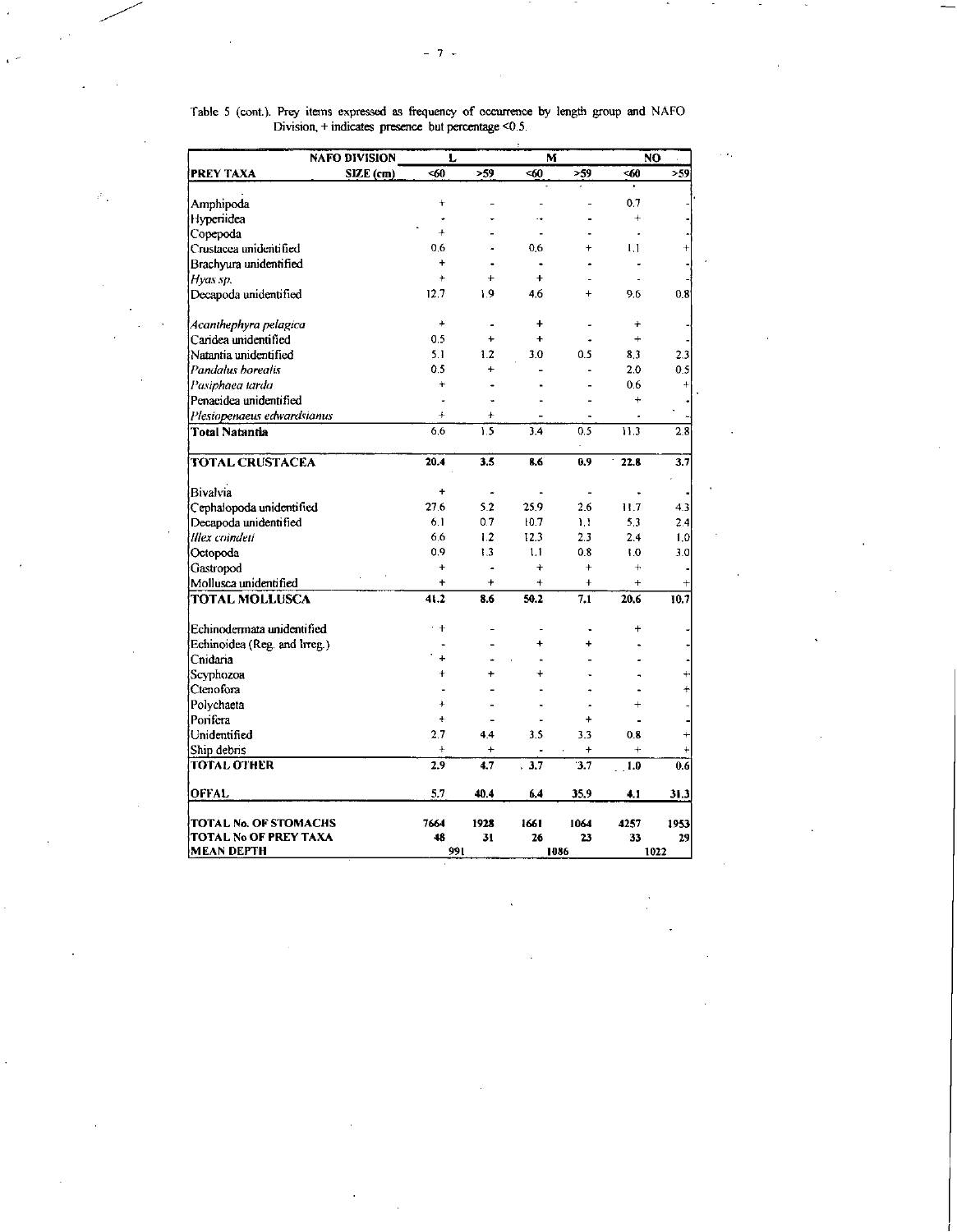|                                                   | <b>NAFO DIVISION</b> | L          |                | M                    |                          | N <sub>0</sub> |           |
|---------------------------------------------------|----------------------|------------|----------------|----------------------|--------------------------|----------------|-----------|
| <b>PREY TAXA</b>                                  | SIZE (cm)            | -60        | >59            | <60                  | >59                      | -60            | >59       |
|                                                   |                      | $\ddot{}$  |                |                      |                          | 0.7            |           |
| Amphipoda                                         |                      |            |                | ٠.                   |                          | $\ddot{+}$     |           |
| Hypenidea                                         |                      | $\ddot{}$  |                |                      |                          |                |           |
| Copepoda                                          |                      | 0.6        |                | 0.6                  |                          | ٠<br>1.1       |           |
| Crustacea unideritified                           |                      | $\ddot{}$  |                | ä.                   |                          |                |           |
| Brachyura unidentified                            |                      | $\ddot{}$  |                | $\ddot{}$            |                          |                |           |
| Hyas sp.                                          |                      |            |                |                      | $\ddot{}$                |                | 0.8       |
| Decapoda unidentified                             |                      | 12.7       | 19             | 4.6                  |                          | 9.6            |           |
| Acanthephyra pelagica                             |                      | $\ddot{}$  | $\overline{a}$ | $\ddot{}$            |                          | $\ddot{}$      |           |
| Caridea unidentified                              |                      | 0.5        | ÷              | $\ddot{\phantom{1}}$ |                          | $\ddot{}$      |           |
| Natanna unidentified                              |                      | 5.1        | 1.2            | 3.0                  | 0.5                      | 8.3            | 2.3       |
| Pandalus borealis                                 |                      | 0.5        | $\ddot{}$      |                      |                          | 2.0            | 0.5       |
| Pasiphaea tarda                                   |                      | $\ddot{}$  |                |                      |                          | 0.6            | 4         |
| Penaeidea unidentified                            |                      | ÷,         |                |                      |                          | $\ddotmark$    |           |
| Plesiopenaeus edwardsianus                        |                      | $\ddot{+}$ | $\ddot{}$      |                      |                          |                |           |
| Total Natantia                                    |                      | 6.6        | 1.5            | 3.4                  | 0.5                      | 11.3           | 2.8       |
| <b>TOTAL CRUSTACEA</b>                            |                      | 20.4       | 3.5            | 8.6                  | 0.9                      | 22.8           | 3.7       |
| Bivalvia                                          |                      | $+$        | ٠              |                      | $\overline{\phantom{a}}$ |                |           |
|                                                   |                      | 27.6       | 5.2            | 25.9                 | 2.6                      | 11.7           | 4.3       |
| Cephalopoda unidentified<br>Decapoda unidentified |                      | 6.1        | 0.7            | 10.7                 | Ħ                        | 5.3            | 2.4       |
| Illex coindeti                                    |                      | 6.6        | 1.2            | 12.3                 | 2.3                      | 2.4            | 1.0       |
| Octopoda                                          |                      | 0.9        | 1.3            | 1.1                  | 0.8                      | 1.0            | 3.0       |
|                                                   |                      | ÷          |                | ÷                    | ÷                        | $\ddot{}$      |           |
| Gastropod                                         |                      | $\ddot{}$  | $\ddot{}$      | $+$                  | $\ddotmark$              | $\ddot{}$      |           |
| Mollusca unidentified<br><b>TOTAL MOLLUSCA</b>    |                      | 41.2       | 8.6            | 50.2                 | 7.1                      | 20.6           | 4<br>10.7 |
|                                                   |                      |            |                |                      |                          |                |           |
| Echinodermata unidentified                        |                      | $+$        |                |                      |                          | $\ddot{}$      |           |
| Echinoidea (Reg. and Irreg.)                      |                      |            |                | Ł                    |                          |                |           |
| Cnidaria                                          |                      | $\ddot{}$  |                |                      |                          |                |           |
| Scyphozoa                                         |                      | $\ddot{}$  |                |                      |                          |                |           |
| Ctenofora                                         |                      |            |                |                      |                          |                |           |
| Polychaeta                                        |                      | $\ddot{}$  |                |                      |                          |                |           |
| Porifera                                          |                      | $+$        |                |                      | ÷                        |                |           |
| Unidentified                                      |                      | 2.7        | 4.4            | 3.5                  | 3.3                      | 0.8            |           |
| Ship debris                                       |                      | $\ddot{+}$ | $\ddot{}$      |                      | ÷                        | $+$            |           |
| TOTAL OTHER                                       |                      | 2.9        | 4.7            | 3.7<br>$\mathbf{r}$  | 3.7                      | 1.0            | 0.6       |
| <b>OFFAL</b>                                      |                      | 5.7        | 40.4           | 6.4                  | 35.9                     | 4.1            | 31.3      |
| TOTAL No. OF STOMACHS                             |                      | 7664       | 1928           | 1661                 | 1064                     | 4257           | 1953      |
| TOTAL No OF PREY TAXA                             |                      | 48         | 31             | 26                   | 23                       | 33             | 29        |
| <b>MEAN DEPTH</b>                                 |                      | 991        |                |                      | 1086                     |                | 1022      |

Table 5 (cont.). Prey items expressed as frequency of occurrence by length group and NAFO Division, + indicates presence but percentage <0.5.

 $\mathcal{P}_{\mathcal{A}}$ 

 $\sim 10^4$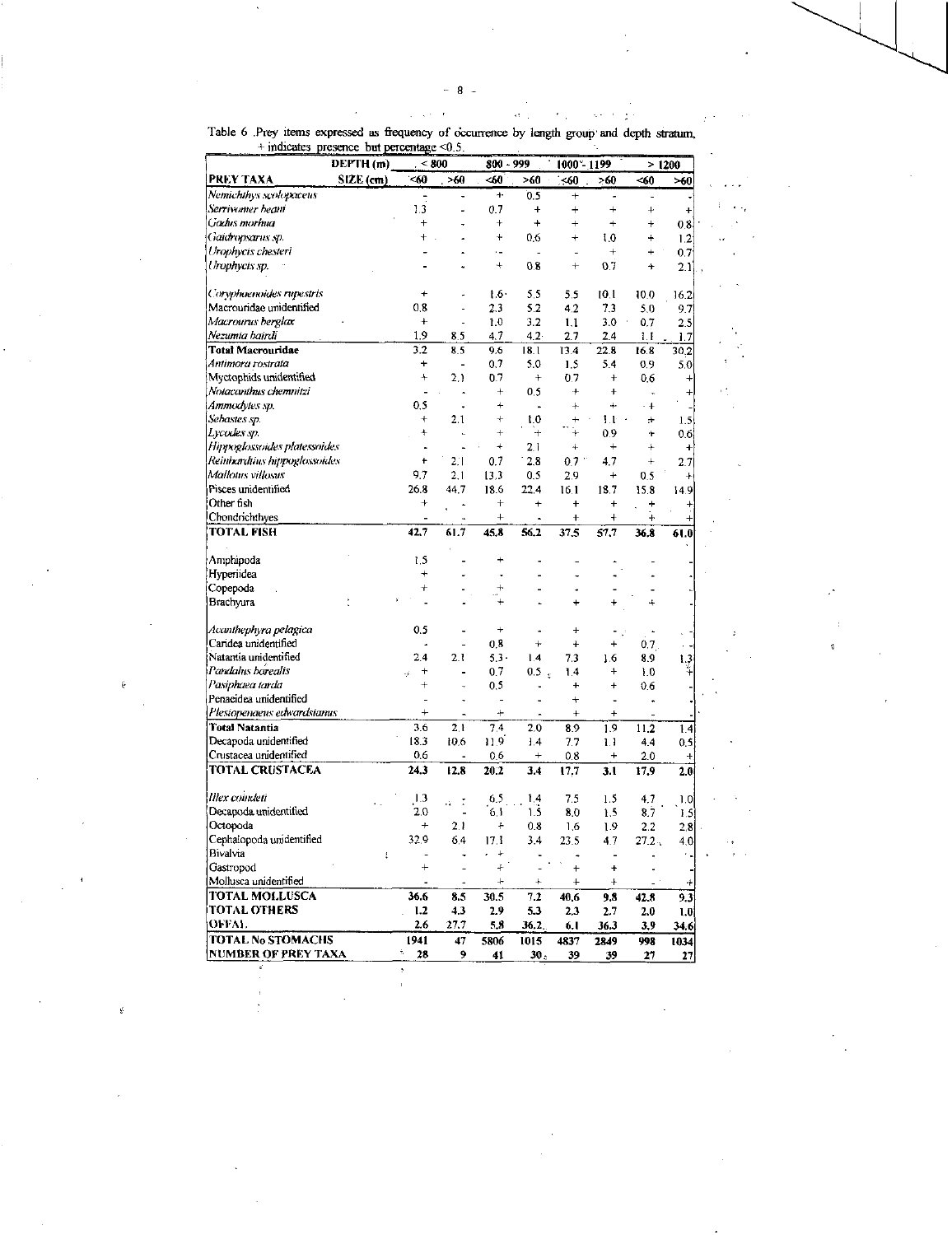$\label{eq:2.1} \left\langle \alpha_{\alpha\beta} \right\rangle = - \left\langle \alpha_{\alpha\beta} \right\rangle = - \left\langle \alpha_{\sigma\beta} \right\rangle \left\langle \alpha_{\beta\beta} \right\rangle$ 

۰, e

 $\mathbf{A}$  $\epsilon$  .

 $\ddot{\phantom{a}}$  $\epsilon$  .

Table 6 Prey items expressed as frequency of occurrence by length group and depth stratum,<br>+indicates presence but percentage <0.5.

 $\epsilon$  $\chi$  .

| <i>numeros</i><br>μιν<br>DEPTH (m) | кис он реголице      | w.s.<br>< 800        |                      | 800 - 999         |                | 1000 - 1199    |                      | >1200            |  |
|------------------------------------|----------------------|----------------------|----------------------|-------------------|----------------|----------------|----------------------|------------------|--|
| SIZE <sub>(cm)</sub><br>PREY TAXA  | < 60                 | >60                  | -60                  | >60               | < 60           | >60            | <60                  | $\times 0$       |  |
| Nemichthys scolopaceus             |                      |                      | ተ                    | 0.5               | $\ddot{}$      |                | $\overline{a}$       |                  |  |
| Serrivemer beani                   | 13                   |                      | 0.7                  | $\pmb{+}$         | $\overline{+}$ | $\ddot{}$      | $\ddot{}$            | $\ddot{}$        |  |
| Gachis mortuu                      | $\ddot{}$            |                      | $\,{}^+$             | +                 | $^{+}$         | $\ddot{}$      | $\ddag$              | 0.8              |  |
| Gaidropsarus sp.                   | 4                    |                      | $\ddot{}$            | 0.6               | $\ddot{}$      | 1.0            | ÷                    | 1.2              |  |
| Urophycis chesteri                 |                      |                      | $\ddot{\phantom{0}}$ |                   | L.             | $^{+}$         | $\ddot{}$            | 0.7              |  |
| Urophycis sp.                      |                      |                      | $^{+}$               | 0.8               | $^{+}$         | 0.7            | +                    | 21)              |  |
|                                    |                      |                      |                      |                   |                |                |                      |                  |  |
| Coryphaenoides rupestris           | $\ddot{}$            |                      | $1.6 -$              | 5.5               | 5.5            | 10.1           | 10.0                 | 16.2             |  |
| Macrouridae unidentified           | 0.8                  |                      | 2.3                  | 5.2               | 42             | 7,3            | 5.0                  | 97               |  |
| Macrourus berglax                  | <sup>+</sup>         | ٠                    | 1.0                  | 3.2               | 1.1            | 3.0            | 0.7                  | 2.5              |  |
| Nezumia hairdi                     | 1.9                  | 8.5                  | 4.7                  | 42                | 2.7            | 2.4            | 1.1                  | 1.7              |  |
| Total Macrouridae                  | 3.2                  | 8,5                  | 9.6                  | 18.1              | 13.4           | 22.8           | 16.8                 | 30.2             |  |
| Antimora rostrata                  | +                    |                      | 0.7                  | 50                | 1.5            | 5.4            | 0.9                  | 5.0              |  |
| Myctophids unidentified            | $^{+}$               | 2.1                  | 0.7                  | $\ddot{}$         | 0.7            | $^{+}$         | 0.6                  | $^{+}$           |  |
| Notacantmis chemnitzi              | $\overline{a}$       | ٠                    | $\ddot{}$            | 0.5               | 4              | $\ddot{}$      | ä,                   | $+$              |  |
| Ammodytes sp.                      | 0.5                  |                      | $\ddot{}$            | $\overline{a}$    | $^{+}$         | $+$            | $\cdot$ +            |                  |  |
| Sebastes sp.                       | $\ddot{}$            | 2.1                  | $^{+}$               | 1.0               | $+$            | Lŀ             | ÷                    | 1.5              |  |
| Lycodes sp.                        | ÷                    | i.                   | $^{+}$               | $+$               | $\ddot{}$      | 0.9            | ÷                    |                  |  |
|                                    | $\ddot{\phantom{0}}$ |                      | $\ddot{}$            |                   | $\ddot{}$      | $^{+}$         | $^{+}$               | 0.6              |  |
| Hippoglossoides platessoides       |                      |                      |                      | 2.1               |                |                |                      | ÷                |  |
| Reinhardtius hippoglossoides       | t                    | 2.1                  | 0.7                  | 2.8               | 0.7            | 4.7            | $^{+}$               | 2.7              |  |
| Mallouis villosus                  | 9.7                  | 2.1                  | 13.3                 | 0.5               | 2.9            | $\ddot{}$      | 0.5                  | $\ddot{}$        |  |
| Pisces unidentified                | 26.8                 | 44.7                 | 18.6                 | 22.4              | 16.1           | 18.7           | 15.8                 | 14.9             |  |
| Other fish                         | +                    |                      | $\ddot{}$            | $\ddot{}$         | $+$            | $^{+}$         | ÷                    | +                |  |
| Chondrichthyes                     |                      | $\ddot{\phantom{a}}$ | $\ddot{}$            | ä,                | $\ddot{}$      | $\ddot{}$      | $\ddot{}$            | $^{+}$           |  |
| TOTAL FISH                         | 42.7                 | 61.7                 | 45.8                 | 56.2              | 37.5           | 57.7           | 36,8                 | 61.0             |  |
| Amphipoda                          | 1.5                  |                      | ÷                    |                   |                |                |                      |                  |  |
| Hyperiidea                         | $^{+}$               | L                    | $\ddot{\phantom{0}}$ | L,                |                |                |                      |                  |  |
| Copepoda                           | $\ddot{}$            |                      | $\ddot{\phantom{1}}$ | L,                |                |                |                      |                  |  |
| Brachyura                          |                      |                      |                      |                   | $\ddot{}$      |                | ÷                    |                  |  |
|                                    |                      |                      |                      |                   |                |                |                      |                  |  |
| Acanthephyra pelagica              | 0.5                  |                      | $^{+}$               | ٠                 | $\overline{+}$ |                | $\ddot{\phantom{0}}$ |                  |  |
| Caridea unidentified               |                      |                      | 0,8                  | $^{+}$            | $\ddot{}$      | $\overline{ }$ | 0.7                  |                  |  |
| Natantia unidentified              | 2.4                  | 2.1                  | $5.3 -$              | 1.4               | 7.3            | 1.6            | 8.9                  | 1.3              |  |
| Pandahis borealis                  | $\ddot{}$            |                      | 0.7                  | 0.5<br>$\epsilon$ | 1.4            | $\ddot{}$      | 1.0                  | ¥,               |  |
| Pasiphaea tarda                    | $\ddot{}$            |                      | 0.5                  |                   | $\ddot{}$      | $\ddot{}$      | 0.6                  |                  |  |
| Penaeidea unidentified             |                      |                      | L,                   |                   | $\ddot{}$      | $\overline{a}$ |                      |                  |  |
| Plesiopenaeus edwardsianus         | $^{+}$               | $\blacksquare$       | $\ddot{}$            | $\overline{a}$    | $^{+}$         | $\ddot{}$      | $\overline{a}$       |                  |  |
| Total Natantia                     | 3.6                  | 2.1                  | 7.4                  | 2.0               | 8.9            | 1.9            | 11.2                 | 1.4              |  |
| Decapoda unidentified              | 18.3                 | 10.6                 | 11.9                 | 1.4               | 7.7            | u              | 4.4                  | 0.5              |  |
| Crustacea unidentified             | 0.6                  |                      | 0,6                  | $^+$              |                | $\ddag$        | 2.0                  |                  |  |
| TOTAL CRUSTACEA                    | 24.3                 | 12.8                 | 20.2                 | 3,4               | 0.8<br>17,7    | 3.1            | 17.9                 | $\ddot{}$<br>2.0 |  |
|                                    |                      |                      |                      |                   |                |                |                      |                  |  |
| llex coindeti                      | 1.3                  | $\ddot{\cdot}$       | 6.5                  | 1,4               | 7.5            | 1.5            | 4,7                  | 1.0              |  |
| Decapoda unidentified              | 2.0                  |                      | 6.1                  | 1.5               | 8.0            | 1.5            | 8.7                  | 1.5              |  |
| Octopoda                           | $\ddot{}$            | 2.1                  | $\ddag$              | 0.8               | 1.6            | 1.9            | 2.2                  | 2,8              |  |
| Cephalopoda unidentified           | 32.9                 | 6.4                  | 17.1                 | 3.4               | 23.5           | 4.7            | 27.2.                | 4.0              |  |
| Bivalvia                           | $\frac{5}{8}$        |                      | $\ddot{}$            |                   |                | ٠              |                      |                  |  |
| Gastropod                          | $\ddot{}$            |                      | 4                    |                   | $\ddot{+}$     | $\ddot{}$      |                      |                  |  |
|                                    |                      |                      |                      |                   |                |                |                      |                  |  |
| Mollusca unidentified              |                      |                      | $\ddag$              | $\ddot{}$         | $\ddot{}$      | $^{+}$         |                      | 4                |  |
| TOTAL MOLLUSCA                     | 36.6                 | 8.5                  | 30.5                 | 7.2               | 40.6           | 9.8            | 42.8                 | 9.3              |  |
| <b>TOTAL OTHERS</b>                | 1.2                  | 4.3                  | 2.9                  | 5.3               | 2,3            | 2.7            | 2.0                  | 1.0              |  |
| OFFAL                              | 2.6                  | 27,7                 | 5,8                  | 36.2.             | 6. I           | 36.3           | 3.9                  | 34.6             |  |
| TOTAL No STOMACHS                  | 1941                 | 47                   | 5806                 | 1015              | 4837           | 2849           | 998                  | 1034             |  |
| NUMBER OF PREY TAXA                | ţ,<br>28             | 9                    | 41                   | 30 <sub>z</sub>   | 39             | 39             | 27                   | 27               |  |

ğ.

ś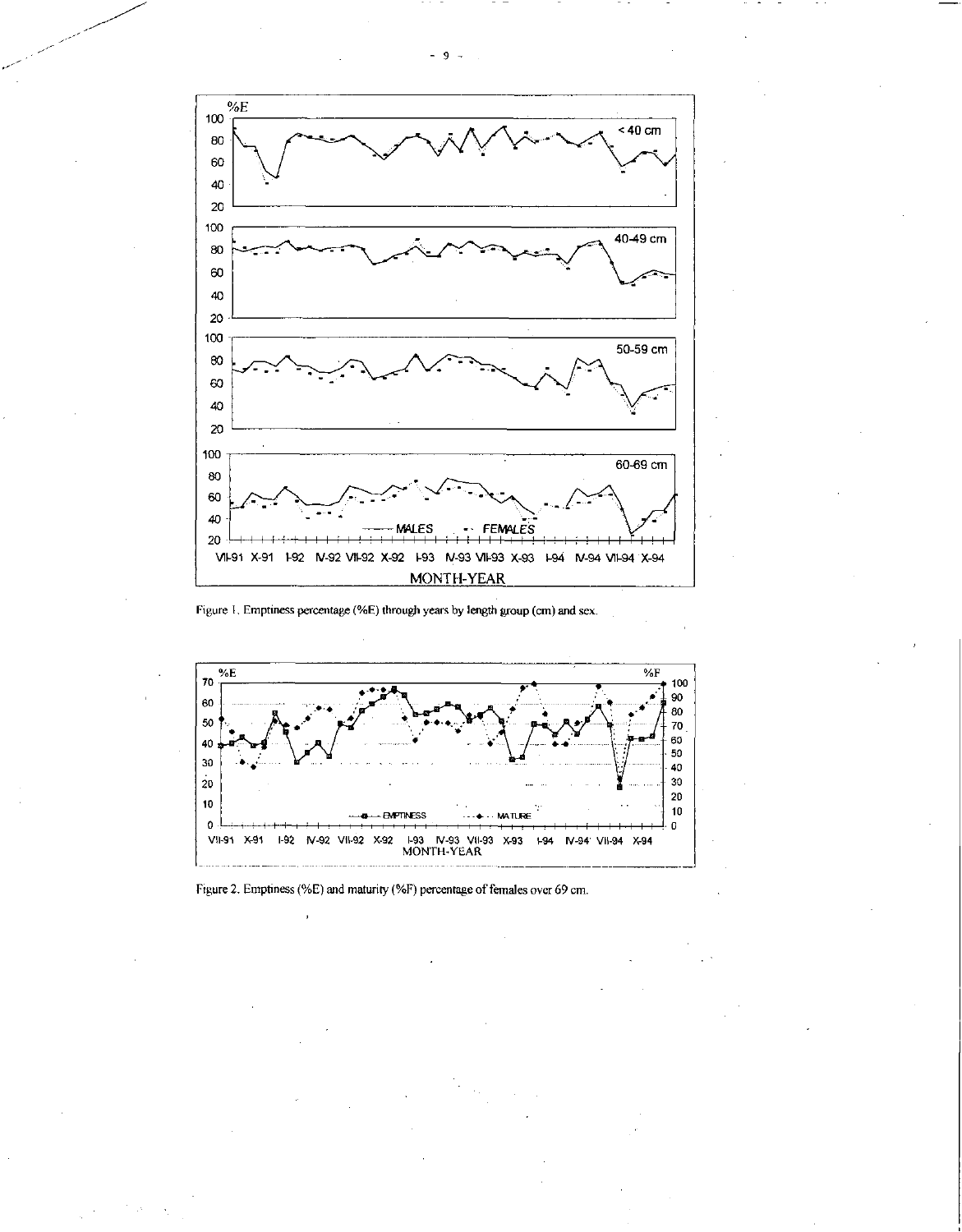

Figure 1. Emptiness percentage (%E) through years by length group (cm) and sex.



Figure 2. Emptiness (%E) and maturity (%F) percentage of females over 69 cm.